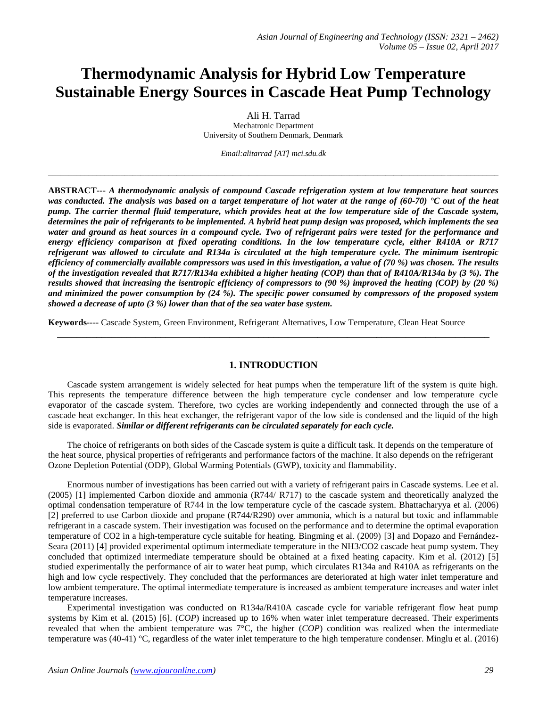# **Thermodynamic Analysis for Hybrid Low Temperature Sustainable Energy Sources in Cascade Heat Pump Technology**

Ali H. Tarrad Mechatronic Department University of Southern Denmark, Denmark

*Email:alitarrad [AT] mci.sdu.dk*

\_\_\_\_\_\_\_\_\_\_\_\_\_\_\_\_\_\_\_\_\_\_\_\_\_\_\_\_\_\_\_\_\_\_\_\_\_\_\_\_\_\_\_\_\_\_\_\_\_\_\_\_\_\_\_\_\_\_\_\_\_\_\_\_\_\_\_\_\_\_\_\_\_\_\_\_\_\_\_\_\_\_\_\_\_\_\_\_\_\_\_\_\_\_\_\_\_\_\_\_\_\_\_\_\_\_\_\_\_\_\_\_

**ABSTRACT---** *A thermodynamic analysis of compound Cascade refrigeration system at low temperature heat sources was conducted. The analysis was based on a target temperature of hot water at the range of (60-70) °C out of the heat pump. The carrier thermal fluid temperature, which provides heat at the low temperature side of the Cascade system, determines the pair of refrigerants to be implemented. A hybrid heat pump design was proposed, which implements the sea water and ground as heat sources in a compound cycle. Two of refrigerant pairs were tested for the performance and energy efficiency comparison at fixed operating conditions. In the low temperature cycle, either R410A or R717 refrigerant was allowed to circulate and R134a is circulated at the high temperature cycle. The minimum isentropic efficiency of commercially available compressors was used in this investigation, a value of (70 %) was chosen. The results of the investigation revealed that R717/R134a exhibited a higher heating (COP) than that of R410A/R134a by (3 %). The results showed that increasing the isentropic efficiency of compressors to (90 %) improved the heating (COP) by (20 %) and minimized the power consumption by (24 %). The specific power consumed by compressors of the proposed system showed a decrease of upto (3 %) lower than that of the sea water base system.*

**Keywords----** Cascade System, Green Environment, Refrigerant Alternatives, Low Temperature, Clean Heat Source

#### **1. INTRODUCTION**

**\_\_\_\_\_\_\_\_\_\_\_\_\_\_\_\_\_\_\_\_\_\_\_\_\_\_\_\_\_\_\_\_\_\_\_\_\_\_\_\_\_\_\_\_\_\_\_\_\_\_\_\_\_\_\_\_\_\_\_\_\_\_\_\_\_\_\_\_\_\_\_\_\_\_\_\_\_\_\_\_\_\_\_\_\_\_\_\_**

Cascade system arrangement is widely selected for heat pumps when the temperature lift of the system is quite high. This represents the temperature difference between the high temperature cycle condenser and low temperature cycle evaporator of the cascade system. Therefore, two cycles are working independently and connected through the use of a cascade heat exchanger. In this heat exchanger, the refrigerant vapor of the low side is condensed and the liquid of the high side is evaporated. *Similar or different refrigerants can be circulated separately for each cycle.*

The choice of refrigerants on both sides of the Cascade system is quite a difficult task. It depends on the temperature of the heat source, physical properties of refrigerants and performance factors of the machine. It also depends on the refrigerant Ozone Depletion Potential (ODP), Global Warming Potentials (GWP), toxicity and flammability.

Enormous number of investigations has been carried out with a variety of refrigerant pairs in Cascade systems. Lee et al. (2005) [1] implemented Carbon dioxide and ammonia (R744/ R717) to the cascade system and theoretically analyzed the optimal condensation temperature of R744 in the low temperature cycle of the cascade system. Bhattacharyya et al. (2006) [2] preferred to use Carbon dioxide and propane (R744/R290) over ammonia, which is a natural but toxic and inflammable refrigerant in a cascade system. Their investigation was focused on the performance and to determine the optimal evaporation temperature of CO2 in a high-temperature cycle suitable for heating. Bingming et al. (2009) [3] and Dopazo and Fernández-Seara (2011) [4] provided experimental optimum intermediate temperature in the NH3/CO2 cascade heat pump system. They concluded that optimized intermediate temperature should be obtained at a fixed heating capacity. Kim et al. (2012) [5] studied experimentally the performance of air to water heat pump, which circulates R134a and R410A as refrigerants on the high and low cycle respectively. They concluded that the performances are deteriorated at high water inlet temperature and low ambient temperature. The optimal intermediate temperature is increased as ambient temperature increases and water inlet temperature increases.

Experimental investigation was conducted on R134a/R410A cascade cycle for variable refrigerant flow heat pump systems by Kim et al. (2015) [6]. (*COP*) increased up to 16% when water inlet temperature decreased. Their experiments revealed that when the ambient temperature was 7°C, the higher (*COP*) condition was realized when the intermediate temperature was (40-41) °C, regardless of the water inlet temperature to the high temperature condenser. Minglu et al. (2016)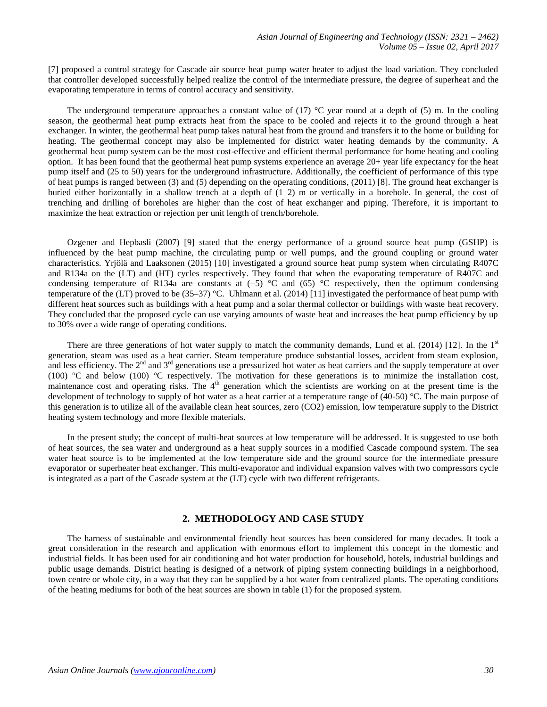[7] proposed a control strategy for Cascade air source heat pump water heater to adjust the load variation. They concluded that controller developed successfully helped realize the control of the intermediate pressure, the degree of superheat and the evaporating temperature in terms of control accuracy and sensitivity.

The underground temperature approaches a constant value of  $(17)$  °C year round at a depth of  $(5)$  m. In the cooling season, the geothermal heat pump extracts heat from the space to be cooled and rejects it to the ground through a heat exchanger. In winter, the geothermal heat pump takes natural heat from the ground and transfers it to the home or building for heating. The geothermal concept may also be implemented for district water heating demands by the community. A geothermal heat pump system can be the most cost-effective and efficient thermal performance for home heating and cooling option. It has been found that the geothermal heat pump systems experience an average 20+ year life expectancy for the heat pump itself and (25 to 50) years for the underground infrastructure. Additionally, the coefficient of performance of this type of heat pumps is ranged between (3) and (5) depending on the operating conditions, (2011) [8]. The ground heat exchanger is buried either horizontally in a shallow trench at a depth of  $(1-2)$  m or vertically in a borehole. In general, the cost of trenching and drilling of boreholes are higher than the cost of heat exchanger and piping. Therefore, it is important to maximize the heat extraction or rejection per unit length of trench/borehole.

Ozgener and Hepbasli (2007) [9] stated that the energy performance of a ground source heat pump (GSHP) is influenced by the heat pump machine, the circulating pump or well pumps, and the ground coupling or ground water characteristics. Yrjölä and Laaksonen (2015) [10] investigated a ground source heat pump system when circulating R407C and R134a on the (LT) and (HT) cycles respectively. They found that when the evaporating temperature of R407C and condensing temperature of R134a are constants at (−5) °C and (65) °C respectively, then the optimum condensing temperature of the (LT) proved to be (35–37) °C. Uhlmann et al. (2014) [11] investigated the performance of heat pump with different heat sources such as buildings with a heat pump and a solar thermal collector or buildings with waste heat recovery. They concluded that the proposed cycle can use varying amounts of waste heat and increases the heat pump efficiency by up to 30% over a wide range of operating conditions.

There are three generations of hot water supply to match the community demands, Lund et al. (2014) [12]. In the  $1<sup>st</sup>$ generation, steam was used as a heat carrier. Steam temperature produce substantial losses, accident from steam explosion, and less efficiency. The  $2^{nd}$  and  $3^{rd}$  generations use a pressurized hot water as heat carriers and the supply temperature at over (100) °C and below (100) °C respectively. The motivation for these generations is to minimize the installation cost, maintenance cost and operating risks. The 4<sup>th</sup> generation which the scientists are working on at the present time is the development of technology to supply of hot water as a heat carrier at a temperature range of (40-50) °C. The main purpose of this generation is to utilize all of the available clean heat sources, zero (CO2) emission, low temperature supply to the District heating system technology and more flexible materials.

In the present study; the concept of multi-heat sources at low temperature will be addressed. It is suggested to use both of heat sources, the sea water and underground as a heat supply sources in a modified Cascade compound system. The sea water heat source is to be implemented at the low temperature side and the ground source for the intermediate pressure evaporator or superheater heat exchanger. This multi-evaporator and individual expansion valves with two compressors cycle is integrated as a part of the Cascade system at the (LT) cycle with two different refrigerants.

## **2. METHODOLOGY AND CASE STUDY**

The harness of sustainable and environmental friendly heat sources has been considered for many decades. It took a great consideration in the research and application with enormous effort to implement this concept in the domestic and industrial fields. It has been used for air conditioning and hot water production for household, hotels, industrial buildings and public usage demands. District heating is designed of a network of piping system connecting buildings in a neighborhood, town centre or whole city, in a way that they can be supplied by a hot water from centralized plants. The operating conditions of the heating mediums for both of the heat sources are shown in table (1) for the proposed system.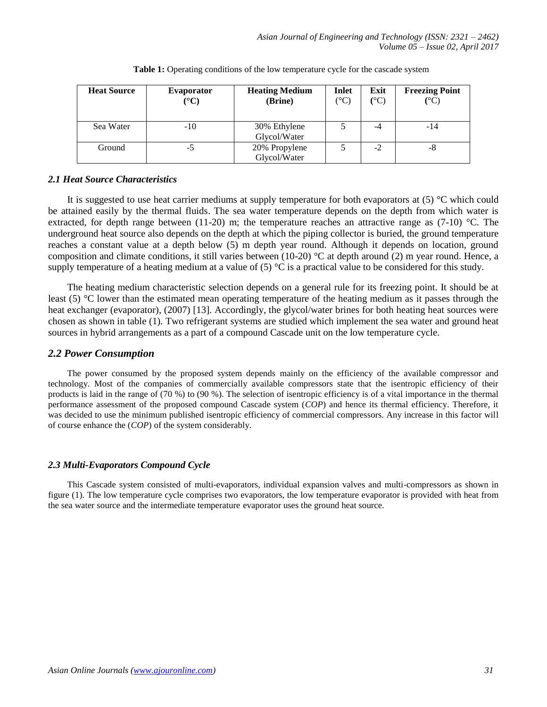| <b>Heat Source</b> | <b>Evaporator</b><br>$({}^{\circ}{\rm C})$ | <b>Heating Medium</b><br>(Brine) | Inlet<br>(°C) | Exit<br>(°C) | <b>Freezing Point</b><br>(°C) |
|--------------------|--------------------------------------------|----------------------------------|---------------|--------------|-------------------------------|
|                    |                                            |                                  |               |              |                               |
| Sea Water          | $-10$                                      | 30% Ethylene                     |               | -4           | $-14$                         |
|                    |                                            | Glycol/Water                     |               |              |                               |
| Ground             | -5                                         | 20% Propylene                    |               | $-2$         | -8                            |
|                    |                                            | Glycol/Water                     |               |              |                               |

**Table 1:** Operating conditions of the low temperature cycle for the cascade system

# *2.1 Heat Source Characteristics*

It is suggested to use heat carrier mediums at supply temperature for both evaporators at (5) °C which could be attained easily by the thermal fluids. The sea water temperature depends on the depth from which water is extracted, for depth range between (11-20) m; the temperature reaches an attractive range as (7-10)  $^{\circ}$ C. The underground heat source also depends on the depth at which the piping collector is buried, the ground temperature reaches a constant value at a depth below (5) m depth year round. Although it depends on location, ground composition and climate conditions, it still varies between (10-20)  $^{\circ}$ C at depth around (2) m year round. Hence, a supply temperature of a heating medium at a value of  $(5)$  °C is a practical value to be considered for this study.

The heating medium characteristic selection depends on a general rule for its freezing point. It should be at least (5) °C lower than the estimated mean operating temperature of the heating medium as it passes through the heat exchanger (evaporator), (2007) [13]. Accordingly, the glycol/water brines for both heating heat sources were chosen as shown in table (1). Two refrigerant systems are studied which implement the sea water and ground heat sources in hybrid arrangements as a part of a compound Cascade unit on the low temperature cycle.

# *2.2 Power Consumption*

The power consumed by the proposed system depends mainly on the efficiency of the available compressor and technology. Most of the companies of commercially available compressors state that the isentropic efficiency of their products is laid in the range of (70 %) to (90 %). The selection of isentropic efficiency is of a vital importance in the thermal performance assessment of the proposed compound Cascade system (*COP*) and hence its thermal efficiency. Therefore, it was decided to use the minimum published isentropic efficiency of commercial compressors. Any increase in this factor will of course enhance the (*COP*) of the system considerably.

# *2.3 Multi-Evaporators Compound Cycle*

This Cascade system consisted of multi-evaporators, individual expansion valves and multi-compressors as shown in figure (1). The low temperature cycle comprises two evaporators, the low temperature evaporator is provided with heat from the sea water source and the intermediate temperature evaporator uses the ground heat source.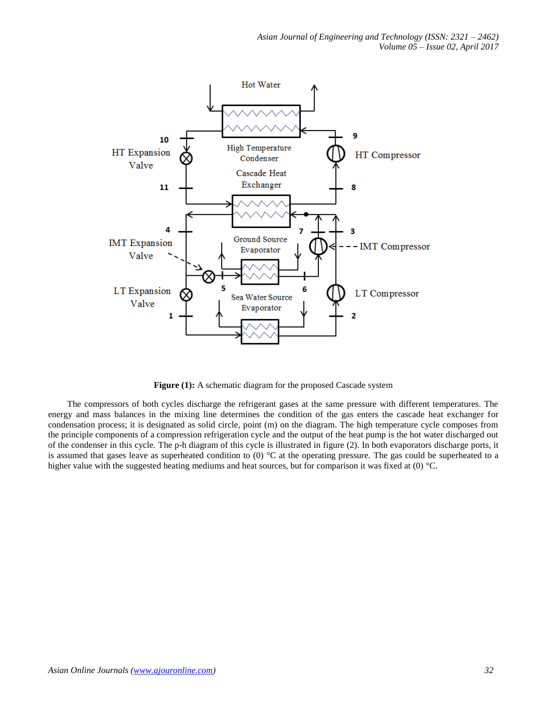

**Figure (1):** A schematic diagram for the proposed Cascade system

The compressors of both cycles discharge the refrigerant gases at the same pressure with different temperatures. The energy and mass balances in the mixing line determines the condition of the gas enters the cascade heat exchanger for condensation process; it is designated as solid circle, point (m) on the diagram. The high temperature cycle composes from the principle components of a compression refrigeration cycle and the output of the heat pump is the hot water discharged out of the condenser in this cycle. The p-h diagram of this cycle is illustrated in figure (2). In both evaporators discharge ports, it is assumed that gases leave as superheated condition to  $(0)$  °C at the operating pressure. The gas could be superheated to a higher value with the suggested heating mediums and heat sources, but for comparison it was fixed at (0) °C.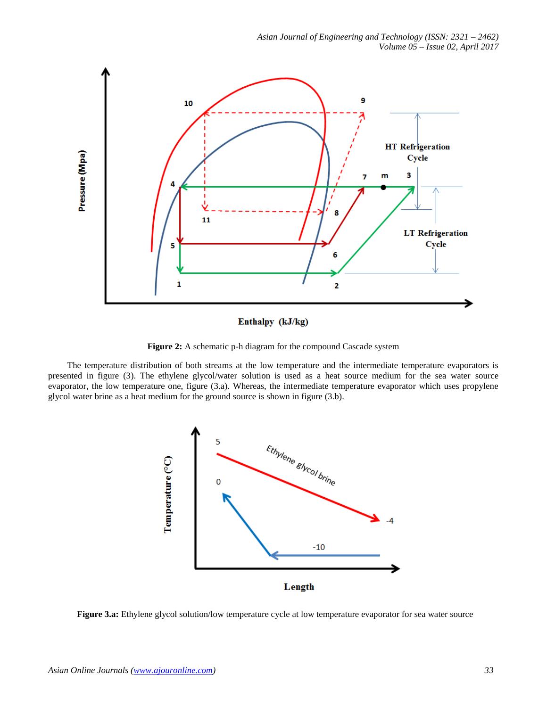

Enthalpy (kJ/kg)

**Figure 2:** A schematic p-h diagram for the compound Cascade system

The temperature distribution of both streams at the low temperature and the intermediate temperature evaporators is presented in figure (3). The ethylene glycol/water solution is used as a heat source medium for the sea water source evaporator, the low temperature one, figure (3.a). Whereas, the intermediate temperature evaporator which uses propylene glycol water brine as a heat medium for the ground source is shown in figure (3.b).



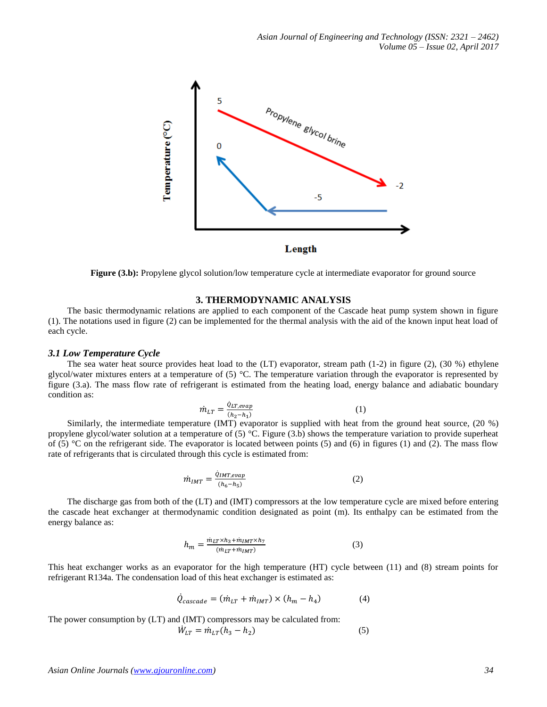

**Figure (3.b):** Propylene glycol solution/low temperature cycle at intermediate evaporator for ground source

## **3. THERMODYNAMIC ANALYSIS**

The basic thermodynamic relations are applied to each component of the Cascade heat pump system shown in figure (1). The notations used in figure (2) can be implemented for the thermal analysis with the aid of the known input heat load of each cycle.

#### *3.1 Low Temperature Cycle*

The sea water heat source provides heat load to the  $(LT)$  evaporator, stream path  $(1-2)$  in figure  $(2)$ ,  $(30\%)$  ethylene glycol/water mixtures enters at a temperature of (5) °C. The temperature variation through the evaporator is represented by figure (3.a). The mass flow rate of refrigerant is estimated from the heating load, energy balance and adiabatic boundary condition as:

$$
\dot{m}_{LT} = \frac{\dot{q}_{LT,evap}}{(h_2 - h_1)}\tag{1}
$$

Similarly, the intermediate temperature (IMT) evaporator is supplied with heat from the ground heat source, (20 %) propylene glycol/water solution at a temperature of  $(5)$  °C. Figure  $(3.b)$  shows the temperature variation to provide superheat of (5)  $\degree$ C on the refrigerant side. The evaporator is located between points (5) and (6) in figures (1) and (2). The mass flow rate of refrigerants that is circulated through this cycle is estimated from:

$$
\dot{m}_{IMT} = \frac{\dot{q}_{IMT,evap}}{(h_6 - h_5)}
$$
\n(2)

The discharge gas from both of the (LT) and (IMT) compressors at the low temperature cycle are mixed before entering the cascade heat exchanger at thermodynamic condition designated as point (m). Its enthalpy can be estimated from the energy balance as:

$$
h_m = \frac{m_{LT} \times h_3 + m_{IMT} \times h_7}{(m_{LT} + m_{IMT})}
$$
\n<sup>(3)</sup>

This heat exchanger works as an evaporator for the high temperature (HT) cycle between (11) and (8) stream points for refrigerant R134a. The condensation load of this heat exchanger is estimated as:

$$
\dot{Q}_{cascade} = (\dot{m}_{LT} + \dot{m}_{IMT}) \times (h_m - h_4)
$$
\n(4)

The power consumption by (LT) and (IMT) compressors may be calculated from:

$$
\dot{W}_{LT} = \dot{m}_{LT} (h_3 - h_2) \tag{5}
$$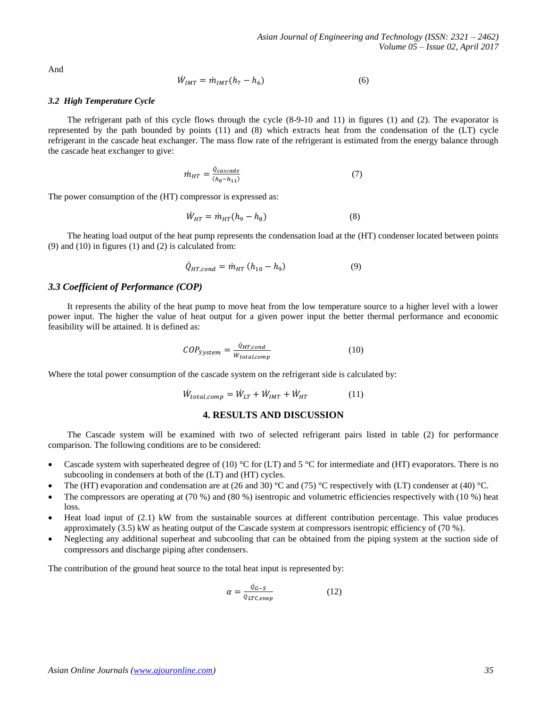And

$$
\dot{W}_{IMT} = \dot{m}_{IMT} (h_7 - h_6) \tag{6}
$$

#### *3.2 High Temperature Cycle*

The refrigerant path of this cycle flows through the cycle (8-9-10 and 11) in figures (1) and (2). The evaporator is represented by the path bounded by points (11) and (8) which extracts heat from the condensation of the (LT) cycle refrigerant in the cascade heat exchanger. The mass flow rate of the refrigerant is estimated from the energy balance through the cascade heat exchanger to give:

$$
\dot{m}_{HT} = \frac{\dot{Q}_{\text{cascade}}}{(h_8 - h_{11})} \tag{7}
$$

The power consumption of the (HT) compressor is expressed as:

$$
\dot{W}_{HT} = \dot{m}_{HT}(h_9 - h_8) \tag{8}
$$

The heating load output of the heat pump represents the condensation load at the (HT) condenser located between points  $(9)$  and  $(10)$  in figures  $(1)$  and  $(2)$  is calculated from:

$$
\dot{Q}_{HT,cond} = \dot{m}_{HT} (h_{10} - h_9) \tag{9}
$$

#### *3.3 Coefficient of Performance (COP)*

It represents the ability of the heat pump to move heat from the low temperature source to a higher level with a lower power input. The higher the value of heat output for a given power input the better thermal performance and economic feasibility will be attained. It is defined as:

$$
COP_{System} = \frac{\dot{Q}_{HT,cond}}{\dot{W}_{total,comp}} \tag{10}
$$

Where the total power consumption of the cascade system on the refrigerant side is calculated by:

$$
\dot{W}_{total,comp} = \dot{W}_{LT} + \dot{W}_{INT} + \dot{W}_{HT} \tag{11}
$$

#### **4. RESULTS AND DISCUSSION**

The Cascade system will be examined with two of selected refrigerant pairs listed in table (2) for performance comparison. The following conditions are to be considered:

- Cascade system with superheated degree of (10) °C for (LT) and 5 °C for intermediate and (HT) evaporators. There is no subcooling in condensers at both of the (LT) and (HT) cycles.
- The (HT) evaporation and condensation are at (26 and 30) °C and (75) °C respectively with (LT) condenser at (40) °C.
- The compressors are operating at (70 %) and (80 %) isentropic and volumetric efficiencies respectively with (10 %) heat loss.
- Heat load input of (2.1) kW from the sustainable sources at different contribution percentage. This value produces approximately (3.5) kW as heating output of the Cascade system at compressors isentropic efficiency of (70 %).
- Neglecting any additional superheat and subcooling that can be obtained from the piping system at the suction side of compressors and discharge piping after condensers.

The contribution of the ground heat source to the total heat input is represented by:

$$
\alpha = \frac{\dot{Q}_{G-S}}{\dot{Q}_{LTC,evap}}\tag{12}
$$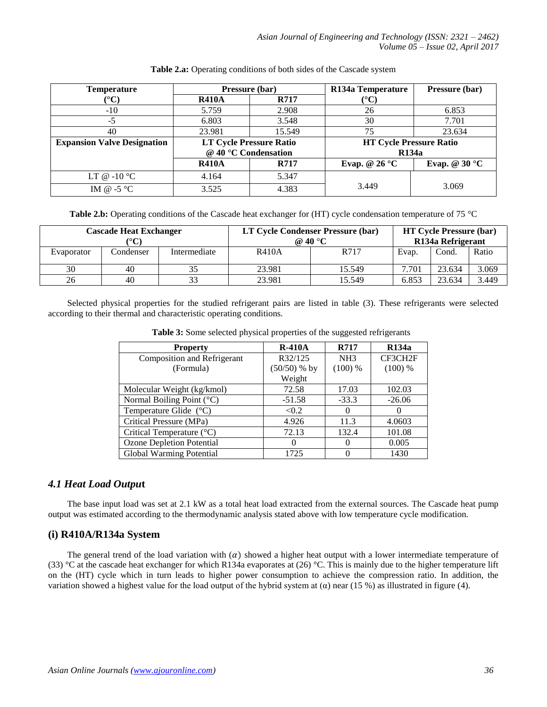| <b>Temperature</b>                 | Pressure (bar)                 |             | R134a Temperature              | Pressure (bar)         |
|------------------------------------|--------------------------------|-------------|--------------------------------|------------------------|
| $^{\circ}\mathrm{C}$               | <b>R410A</b>                   | <b>R717</b> | $({}^\circ\mathrm{C})$         |                        |
| $-10$                              | 5.759                          | 2.908       | 26                             | 6.853                  |
| -5                                 | 6.803                          | 3.548       | 30                             | 7.701                  |
| 40                                 | 23.981                         | 15.549      | 75                             | 23.634                 |
| <b>Expansion Valve Designation</b> | <b>LT Cycle Pressure Ratio</b> |             | <b>HT Cycle Pressure Ratio</b> |                        |
|                                    | @ 40 °C Condensation           |             | <b>R134a</b>                   |                        |
|                                    | <b>R410A</b>                   | R717        | Evap. @ $26^{\circ}$ C         | Evap. @ $30^{\circ}$ C |
| LT @ $-10$ °C                      | 4.164                          | 5.347       |                                |                        |
| IM @ $-5^{\circ}$ C                | 3.525                          | 4.383       | 3.449                          | 3.069                  |

#### **Table 2.a:** Operating conditions of both sides of the Cascade system

**Table 2.b:** Operating conditions of the Cascade heat exchanger for (HT) cycle condensation temperature of 75 °C

| <b>Cascade Heat Exchanger</b> |           | LT Cycle Condenser Pressure (bar)<br>@ 40 $\mathrm{^{\circ}C}$ |              | <b>HT Cycle Pressure (bar)</b><br>R134a Refrigerant |       |        |       |
|-------------------------------|-----------|----------------------------------------------------------------|--------------|-----------------------------------------------------|-------|--------|-------|
| Evaporator                    | Condenser | Intermediate                                                   | <b>R410A</b> | R717                                                | Evap. | Cond.  | Ratio |
| 30                            | 40        | 35                                                             | 23.981       | 15.549                                              | 7.701 | 23.634 | 3.069 |
| 26                            | 40        | 33                                                             | 23.981       | 15.549                                              | 6.853 | 23.634 | 3.449 |

Selected physical properties for the studied refrigerant pairs are listed in table (3). These refrigerants were selected according to their thermal and characteristic operating conditions.

| <b>Property</b>                    | $R-410A$       | <b>R717</b>     | <b>R134a</b> |
|------------------------------------|----------------|-----------------|--------------|
| Composition and Refrigerant        | R32/125        | NH <sub>3</sub> | CF3CH2F      |
| (Formula)                          | $(50/50)$ % by | (100) %         | $(100)$ %    |
|                                    | Weight         |                 |              |
| Molecular Weight (kg/kmol)         | 72.58          | 17.03           | 102.03       |
| Normal Boiling Point (°C)          | $-51.58$       | $-33.3$         | $-26.06$     |
| Temperature Glide (°C)             | < 0.2          | $\theta$        | $\Omega$     |
| Critical Pressure (MPa)            | 4.926          | 11.3            | 4.0603       |
| Critical Temperature $(^{\circ}C)$ | 72.13          | 132.4           | 101.08       |
| <b>Ozone Depletion Potential</b>   | 0              | $\theta$        | 0.005        |
| Global Warming Potential           | 1725           |                 | 1430         |

**Table 3:** Some selected physical properties of the suggested refrigerants

# *4.1 Heat Load Outpu***t**

The base input load was set at 2.1 kW as a total heat load extracted from the external sources. The Cascade heat pump output was estimated according to the thermodynamic analysis stated above with low temperature cycle modification.

# **(i) R410A/R134a System**

The general trend of the load variation with  $\alpha$ ) showed a higher heat output with a lower intermediate temperature of (33) °C at the cascade heat exchanger for which R134a evaporates at (26) °C. This is mainly due to the higher temperature lift on the (HT) cycle which in turn leads to higher power consumption to achieve the compression ratio. In addition, the variation showed a highest value for the load output of the hybrid system at  $(\alpha)$  near (15 %) as illustrated in figure (4).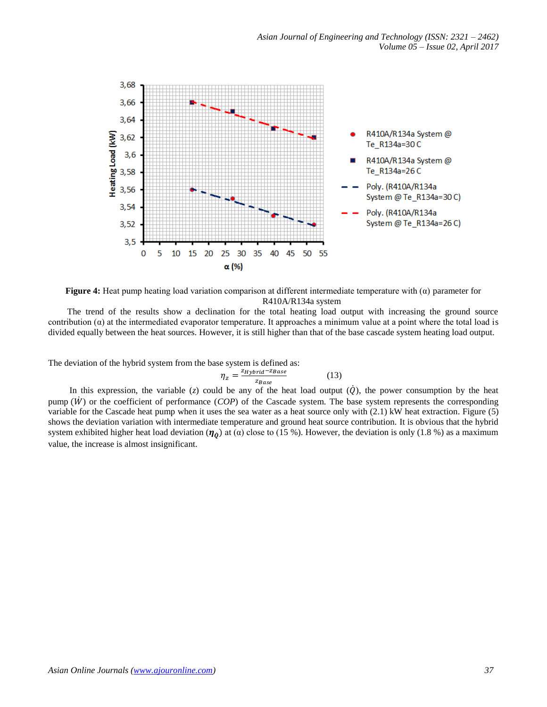

**Figure 4:** Heat pump heating load variation comparison at different intermediate temperature with (α) parameter for R410A/R134a system

The trend of the results show a declination for the total heating load output with increasing the ground source contribution  $(\alpha)$  at the intermediated evaporator temperature. It approaches a minimum value at a point where the total load is divided equally between the heat sources. However, it is still higher than that of the base cascade system heating load output.

The deviation of the hybrid system from the base system is defined as:

$$
\eta_z = \frac{z_{Hybrid} - z_{Base}}{z_{Base}}
$$
(13)

In this expression, the variable (*z*) could be any of the heat load output  $(Q)$ , the power consumption by the heat pump  $(W)$  or the coefficient of performance (*COP*) of the Cascade system. The base system represents the corresponding variable for the Cascade heat pump when it uses the sea water as a heat source only with (2.1) kW heat extraction. Figure (5) shows the deviation variation with intermediate temperature and ground heat source contribution. It is obvious that the hybrid system exhibited higher heat load deviation ( $\eta_0$ ) at ( $\alpha$ ) close to (15 %). However, the deviation is only (1.8 %) as a maximum value, the increase is almost insignificant.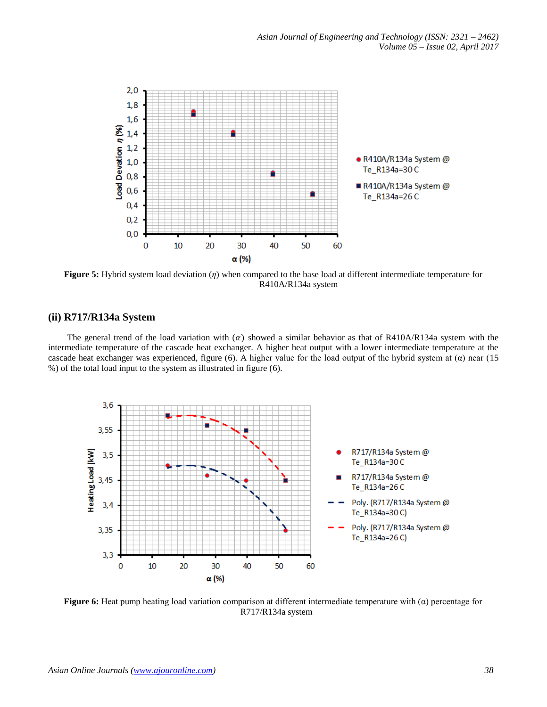

**Figure 5:** Hybrid system load deviation (*η*) when compared to the base load at different intermediate temperature for R410A/R134a system

## **(ii) R717/R134a System**

The general trend of the load variation with  $(\alpha)$  showed a similar behavior as that of R410A/R134a system with the intermediate temperature of the cascade heat exchanger. A higher heat output with a lower intermediate temperature at the cascade heat exchanger was experienced, figure (6). A higher value for the load output of the hybrid system at  $(\alpha)$  near (15) %) of the total load input to the system as illustrated in figure (6).



**Figure 6:** Heat pump heating load variation comparison at different intermediate temperature with (α) percentage for R717/R134a system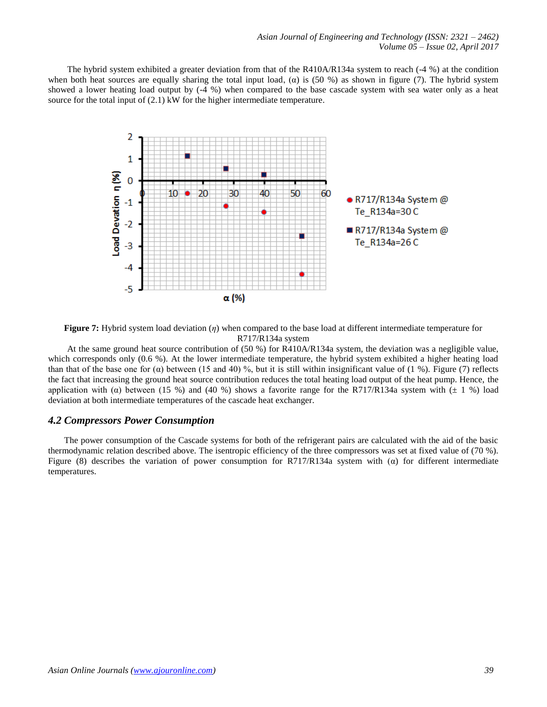The hybrid system exhibited a greater deviation from that of the R410A/R134a system to reach  $(-4\%)$  at the condition when both heat sources are equally sharing the total input load,  $\alpha$ ) is (50 %) as shown in figure (7). The hybrid system showed a lower heating load output by (-4 %) when compared to the base cascade system with sea water only as a heat source for the total input of (2.1) kW for the higher intermediate temperature.



**Figure 7:** Hybrid system load deviation (*η*) when compared to the base load at different intermediate temperature for R717/R134a system

At the same ground heat source contribution of (50 %) for R410A/R134a system, the deviation was a negligible value, which corresponds only (0.6 %). At the lower intermediate temperature, the hybrid system exhibited a higher heating load than that of the base one for  $\alpha$ ) between (15 and 40) %, but it is still within insignificant value of (1 %). Figure (7) reflects the fact that increasing the ground heat source contribution reduces the total heating load output of the heat pump. Hence, the application with ( $\alpha$ ) between (15 %) and (40 %) shows a favorite range for the R717/R134a system with ( $\pm$  1 %) load deviation at both intermediate temperatures of the cascade heat exchanger.

## *4.2 Compressors Power Consumption*

The power consumption of the Cascade systems for both of the refrigerant pairs are calculated with the aid of the basic thermodynamic relation described above. The isentropic efficiency of the three compressors was set at fixed value of (70 %). Figure (8) describes the variation of power consumption for R717/R134a system with ( $\alpha$ ) for different intermediate temperatures.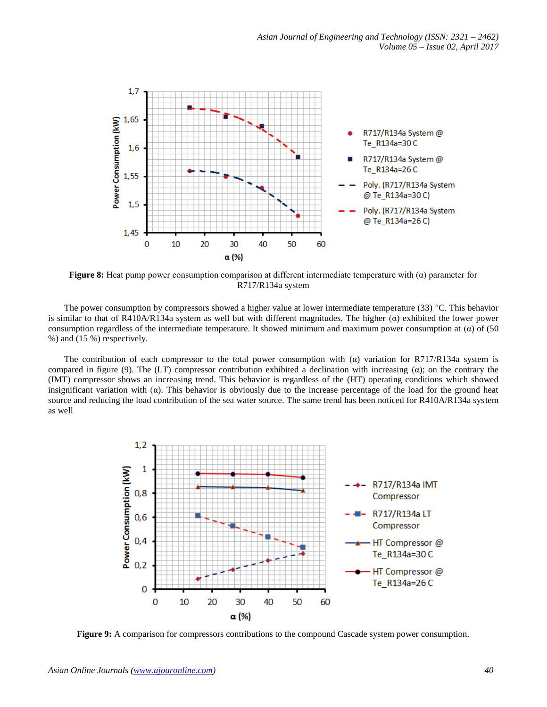

**Figure 8:** Heat pump power consumption comparison at different intermediate temperature with (α) parameter for R717/R134a system

The power consumption by compressors showed a higher value at lower intermediate temperature (33) °C. This behavior is similar to that of R410A/R134a system as well but with different magnitudes. The higher  $(\alpha)$  exhibited the lower power consumption regardless of the intermediate temperature. It showed minimum and maximum power consumption at  $(\alpha)$  of (50) %) and (15 %) respectively.

The contribution of each compressor to the total power consumption with  $(\alpha)$  variation for R717/R134a system is compared in figure (9). The (LT) compressor contribution exhibited a declination with increasing  $(\alpha)$ ; on the contrary the (IMT) compressor shows an increasing trend. This behavior is regardless of the (HT) operating conditions which showed insignificant variation with ( $\alpha$ ). This behavior is obviously due to the increase percentage of the load for the ground heat source and reducing the load contribution of the sea water source. The same trend has been noticed for R410A/R134a system as well



**Figure 9:** A comparison for compressors contributions to the compound Cascade system power consumption.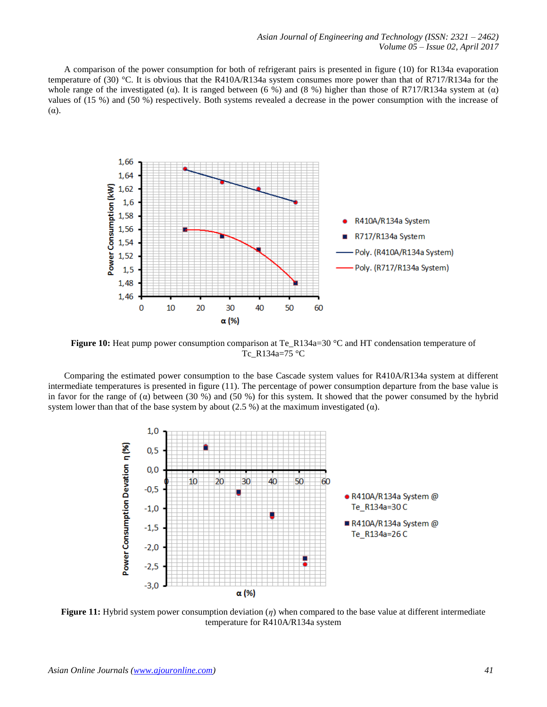A comparison of the power consumption for both of refrigerant pairs is presented in figure (10) for R134a evaporation temperature of (30) °C. It is obvious that the R410A/R134a system consumes more power than that of R717/R134a for the whole range of the investigated ( $\alpha$ ). It is ranged between (6 %) and (8 %) higher than those of R717/R134a system at ( $\alpha$ ) values of (15 %) and (50 %) respectively. Both systems revealed a decrease in the power consumption with the increase of  $(\alpha)$ .



**Figure 10:** Heat pump power consumption comparison at Te\_R134a=30 °C and HT condensation temperature of Tc\_R134a=75 °C

Comparing the estimated power consumption to the base Cascade system values for R410A/R134a system at different intermediate temperatures is presented in figure (11). The percentage of power consumption departure from the base value is in favor for the range of ( $\alpha$ ) between (30 %) and (50 %) for this system. It showed that the power consumed by the hybrid system lower than that of the base system by about (2.5 %) at the maximum investigated ( $\alpha$ ).



**Figure 11:** Hybrid system power consumption deviation (*η*) when compared to the base value at different intermediate temperature for R410A/R134a system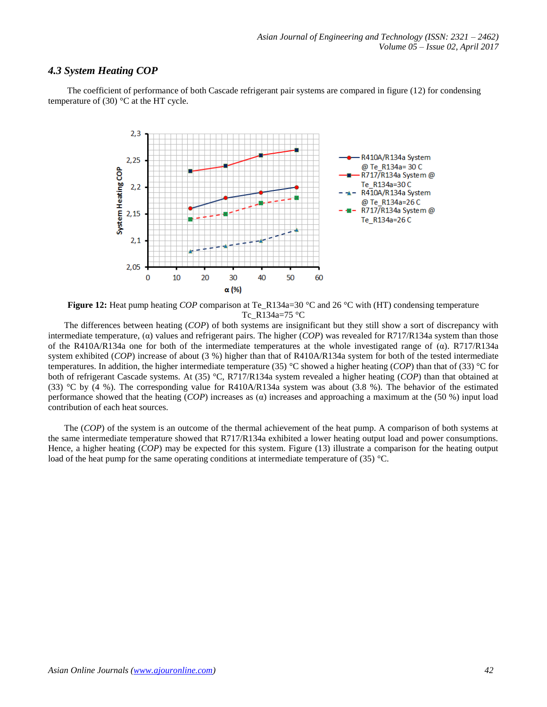# *4.3 System Heating COP*

The coefficient of performance of both Cascade refrigerant pair systems are compared in figure (12) for condensing temperature of (30)  $\degree$ C at the HT cycle.



**Figure 12:** Heat pump heating *COP* comparison at Te\_R134a=30 °C and 26 °C with (HT) condensing temperature Tc\_R134a=75 °C

The differences between heating (*COP*) of both systems are insignificant but they still show a sort of discrepancy with intermediate temperature, (α) values and refrigerant pairs. The higher (*COP*) was revealed for R717/R134a system than those of the R410A/R134a one for both of the intermediate temperatures at the whole investigated range of  $(\alpha)$ . R717/R134a system exhibited (*COP*) increase of about (3 %) higher than that of R410A/R134a system for both of the tested intermediate temperatures. In addition, the higher intermediate temperature (35) °C showed a higher heating (*COP*) than that of (33) °C for both of refrigerant Cascade systems. At (35) °C, R717/R134a system revealed a higher heating (*COP*) than that obtained at (33) °C by (4 %). The corresponding value for R410A/R134a system was about (3.8 %). The behavior of the estimated performance showed that the heating (*COP*) increases as (α) increases and approaching a maximum at the (50 %) input load contribution of each heat sources.

The (*COP*) of the system is an outcome of the thermal achievement of the heat pump. A comparison of both systems at the same intermediate temperature showed that R717/R134a exhibited a lower heating output load and power consumptions. Hence, a higher heating (*COP*) may be expected for this system. Figure (13) illustrate a comparison for the heating output load of the heat pump for the same operating conditions at intermediate temperature of (35) °C.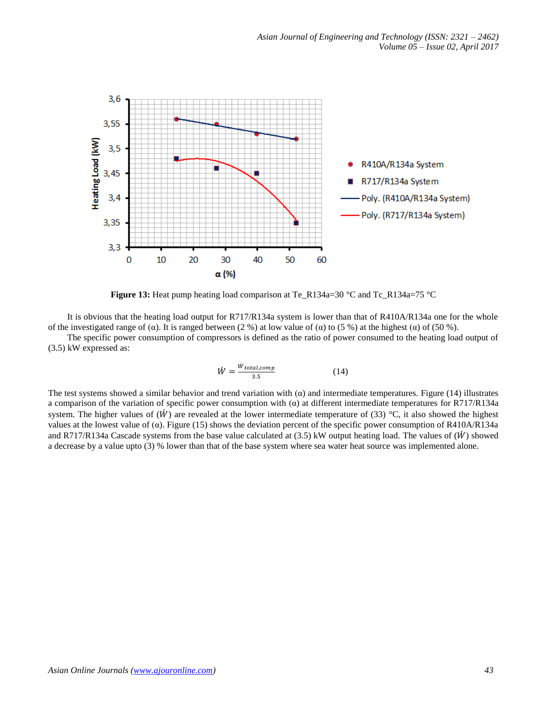

**Figure 13:** Heat pump heating load comparison at Te\_R134a=30 °C and Tc\_R134a=75 °C

It is obvious that the heating load output for R717/R134a system is lower than that of R410A/R134a one for the whole of the investigated range of ( $\alpha$ ). It is ranged between (2 %) at low value of ( $\alpha$ ) to (5 %) at the highest ( $\alpha$ ) of (50 %).

The specific power consumption of compressors is defined as the ratio of power consumed to the heating load output of (3.5) kW expressed as:

$$
\hat{W} = \frac{\dot{W}_{total,comp}}{3.5} \tag{14}
$$

The test systems showed a similar behavior and trend variation with  $\alpha$ ) and intermediate temperatures. Figure (14) illustrates a comparison of the variation of specific power consumption with ( $\alpha$ ) at different intermediate temperatures for R717/R134a system. The higher values of  $(W)$  are revealed at the lower intermediate temperature of (33) °C, it also showed the highest values at the lowest value of (α). Figure (15) shows the deviation percent of the specific power consumption of R410A/R134a and R717/R134a Cascade systems from the base value calculated at  $(3.5)$  kW output heating load. The values of  $(W)$  showed a decrease by a value upto (3) % lower than that of the base system where sea water heat source was implemented alone.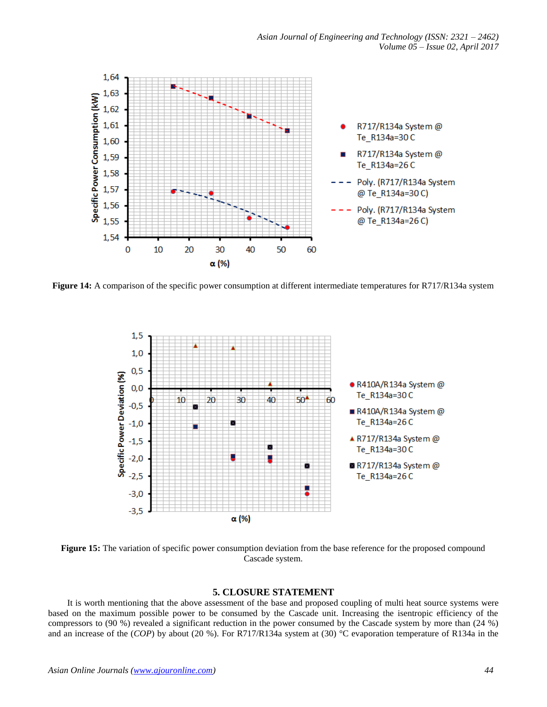

**Figure 14:** A comparison of the specific power consumption at different intermediate temperatures for R717/R134a system



**Figure 15:** The variation of specific power consumption deviation from the base reference for the proposed compound Cascade system.

## **5. CLOSURE STATEMENT**

It is worth mentioning that the above assessment of the base and proposed coupling of multi heat source systems were based on the maximum possible power to be consumed by the Cascade unit. Increasing the isentropic efficiency of the compressors to (90 %) revealed a significant reduction in the power consumed by the Cascade system by more than (24 %) and an increase of the (*COP*) by about (20 %). For R717/R134a system at (30) °C evaporation temperature of R134a in the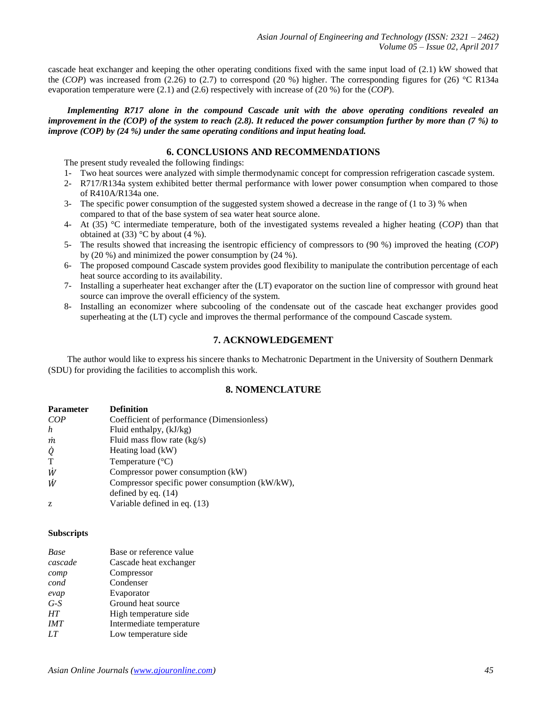cascade heat exchanger and keeping the other operating conditions fixed with the same input load of (2.1) kW showed that the (*COP*) was increased from (2.26) to (2.7) to correspond (20 %) higher. The corresponding figures for (26)  $^{\circ}$ C R134a evaporation temperature were (2.1) and (2.6) respectively with increase of (20 %) for the (*COP*).

*Implementing R717 alone in the compound Cascade unit with the above operating conditions revealed an improvement in the (COP) of the system to reach (2.8). It reduced the power consumption further by more than (7 %) to improve (COP) by (24 %) under the same operating conditions and input heating load.*

## **6. CONCLUSIONS AND RECOMMENDATIONS**

The present study revealed the following findings:

- 1- Two heat sources were analyzed with simple thermodynamic concept for compression refrigeration cascade system.
- 2- R717/R134a system exhibited better thermal performance with lower power consumption when compared to those of R410A/R134a one.
- 3- The specific power consumption of the suggested system showed a decrease in the range of (1 to 3) % when compared to that of the base system of sea water heat source alone.
- 4- At (35) °C intermediate temperature, both of the investigated systems revealed a higher heating (*COP*) than that obtained at  $(33)$  °C by about  $(4\%)$ .
- 5- The results showed that increasing the isentropic efficiency of compressors to (90 %) improved the heating (*COP*) by (20 %) and minimized the power consumption by (24 %).
- 6- The proposed compound Cascade system provides good flexibility to manipulate the contribution percentage of each heat source according to its availability.
- 7- Installing a superheater heat exchanger after the (LT) evaporator on the suction line of compressor with ground heat source can improve the overall efficiency of the system.
- 8- Installing an economizer where subcooling of the condensate out of the cascade heat exchanger provides good superheating at the (LT) cycle and improves the thermal performance of the compound Cascade system.

## **7. ACKNOWLEDGEMENT**

The author would like to express his sincere thanks to Mechatronic Department in the University of Southern Denmark (SDU) for providing the facilities to accomplish this work.

## **8. NOMENCLATURE**

| <b>Parameter</b> | <b>Definition</b>                              |
|------------------|------------------------------------------------|
| COP              | Coefficient of performance (Dimensionless)     |
| h                | Fluid enthalpy, $(kJ/kg)$                      |
| m                | Fluid mass flow rate $(kg/s)$                  |
| Q                | Heating load (kW)                              |
| T                | Temperature $(^{\circ}C)$                      |
| Ŵ                | Compressor power consumption (kW)              |
| Ŵ                | Compressor specific power consumption (kW/kW), |
|                  | defined by eq. $(14)$                          |
| Z                | Variable defined in eq. (13)                   |

#### **Subscripts**

| Base      | Base or reference value  |
|-----------|--------------------------|
| cascade   | Cascade heat exchanger   |
| comp      | Compressor               |
| cond      | Condenser                |
| evap      | Evaporator               |
| $G-S$     | Ground heat source       |
| <b>HT</b> | High temperature side    |
| IMT       | Intermediate temperature |
| LT        | Low temperature side     |